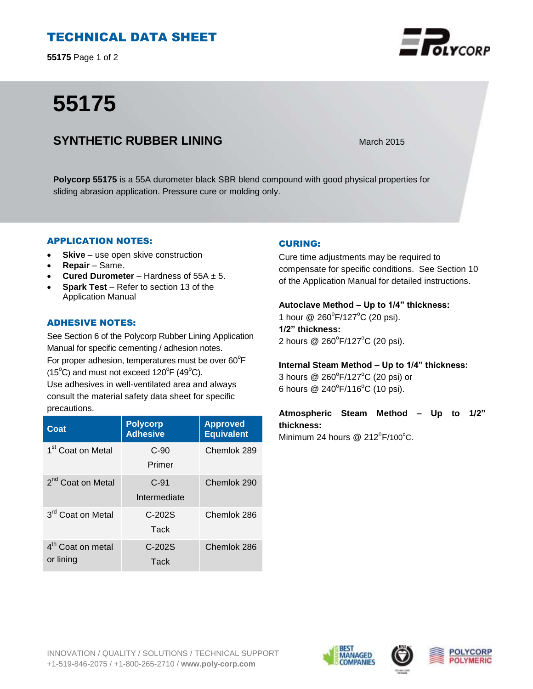# TECHNICAL DATA SHEET

**55175** Page 1 of 2

# **55175**



# **SYNTHETIC RUBBER LINING** March 2015

**Polycorp 55175** is a 55A durometer black SBR blend compound with good physical properties for sliding abrasion application. Pressure cure or molding only.

## APPLICATION NOTES:

- **Skive** use open skive construction
- **Repair**  Same.
- **Cured Durometer**  Hardness of 55A ± 5.
- **Spark Test**  Refer to section 13 of the Application Manual

## ADHESIVE NOTES:

See Section 6 of the Polycorp Rubber Lining Application Manual for specific cementing / adhesion notes. For proper adhesion, temperatures must be over  $60^{\circ}$ F  $(15^{\circ}C)$  and must not exceed  $120^{\circ}F(49^{\circ}C)$ .

Use adhesives in well-ventilated area and always consult the material safety data sheet for specific precautions.

| Coat                                       | <b>Polycorp</b><br><b>Adhesive</b> | <b>Approved</b><br><b>Equivalent</b> |
|--------------------------------------------|------------------------------------|--------------------------------------|
| 1 <sup>st</sup> Coat on Metal              | $C-90$<br>Primer                   | Chemlok 289                          |
| 2 <sup>nd</sup> Coat on Metal              | $C-91$<br>Intermediate             | Chemlok 290                          |
| 3 <sup>rd</sup> Coat on Metal              | $C-202S$<br>Tack                   | Chemlok 286                          |
| 4 <sup>th</sup> Coat on metal<br>or lining | $C-202S$<br>Tack                   | Chemlok 286                          |

# CURING:

Cure time adjustments may be required to compensate for specific conditions. See Section 10 of the Application Manual for detailed instructions.

#### **Autoclave Method – Up to 1/4" thickness:**

1 hour @ 260°F/127°C (20 psi). **1/2" thickness:** 2 hours @ 260°F/127°C (20 psi).

**Internal Steam Method – Up to 1/4" thickness:**

3 hours  $@$  260 $^{\circ}$ F/127 $^{\circ}$ C (20 psi) or 6 hours  $@ 240^{\circ}F/116^{\circ}C$  (10 psi).

**Atmospheric Steam Method – Up to 1/2" thickness:**

Minimum 24 hours  $@$  212 $^{\circ}$ F/100 $^{\circ}$ C.